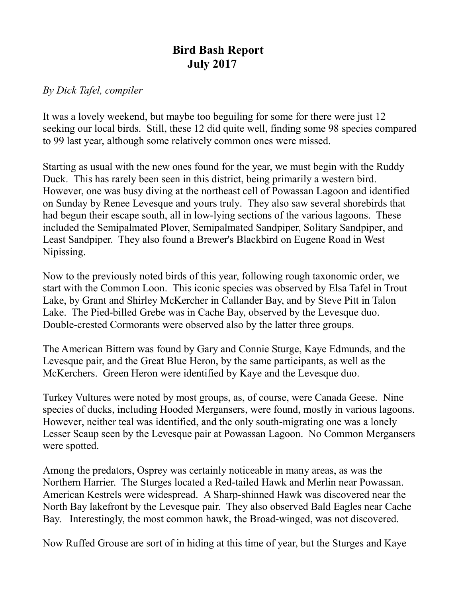## **Bird Bash Report July 2017**

## *By Dick Tafel, compiler*

It was a lovely weekend, but maybe too beguiling for some for there were just 12 seeking our local birds. Still, these 12 did quite well, finding some 98 species compared to 99 last year, although some relatively common ones were missed.

Starting as usual with the new ones found for the year, we must begin with the Ruddy Duck. This has rarely been seen in this district, being primarily a western bird. However, one was busy diving at the northeast cell of Powassan Lagoon and identified on Sunday by Renee Levesque and yours truly. They also saw several shorebirds that had begun their escape south, all in low-lying sections of the various lagoons. These included the Semipalmated Plover, Semipalmated Sandpiper, Solitary Sandpiper, and Least Sandpiper. They also found a Brewer's Blackbird on Eugene Road in West Nipissing.

Now to the previously noted birds of this year, following rough taxonomic order, we start with the Common Loon. This iconic species was observed by Elsa Tafel in Trout Lake, by Grant and Shirley McKercher in Callander Bay, and by Steve Pitt in Talon Lake. The Pied-billed Grebe was in Cache Bay, observed by the Levesque duo. Double-crested Cormorants were observed also by the latter three groups.

The American Bittern was found by Gary and Connie Sturge, Kaye Edmunds, and the Levesque pair, and the Great Blue Heron, by the same participants, as well as the McKerchers. Green Heron were identified by Kaye and the Levesque duo.

Turkey Vultures were noted by most groups, as, of course, were Canada Geese. Nine species of ducks, including Hooded Mergansers, were found, mostly in various lagoons. However, neither teal was identified, and the only south-migrating one was a lonely Lesser Scaup seen by the Levesque pair at Powassan Lagoon. No Common Mergansers were spotted.

Among the predators, Osprey was certainly noticeable in many areas, as was the Northern Harrier. The Sturges located a Red-tailed Hawk and Merlin near Powassan. American Kestrels were widespread. A Sharp-shinned Hawk was discovered near the North Bay lakefront by the Levesque pair. They also observed Bald Eagles near Cache Bay. Interestingly, the most common hawk, the Broad-winged, was not discovered.

Now Ruffed Grouse are sort of in hiding at this time of year, but the Sturges and Kaye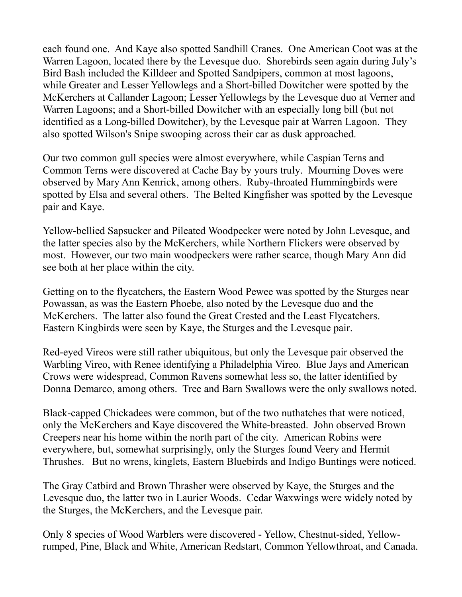each found one. And Kaye also spotted Sandhill Cranes. One American Coot was at the Warren Lagoon, located there by the Levesque duo. Shorebirds seen again during July's Bird Bash included the Killdeer and Spotted Sandpipers, common at most lagoons, while Greater and Lesser Yellowlegs and a Short-billed Dowitcher were spotted by the McKerchers at Callander Lagoon; Lesser Yellowlegs by the Levesque duo at Verner and Warren Lagoons; and a Short-billed Dowitcher with an especially long bill (but not identified as a Long-billed Dowitcher), by the Levesque pair at Warren Lagoon. They also spotted Wilson's Snipe swooping across their car as dusk approached.

Our two common gull species were almost everywhere, while Caspian Terns and Common Terns were discovered at Cache Bay by yours truly. Mourning Doves were observed by Mary Ann Kenrick, among others. Ruby-throated Hummingbirds were spotted by Elsa and several others. The Belted Kingfisher was spotted by the Levesque pair and Kaye.

Yellow-bellied Sapsucker and Pileated Woodpecker were noted by John Levesque, and the latter species also by the McKerchers, while Northern Flickers were observed by most. However, our two main woodpeckers were rather scarce, though Mary Ann did see both at her place within the city.

Getting on to the flycatchers, the Eastern Wood Pewee was spotted by the Sturges near Powassan, as was the Eastern Phoebe, also noted by the Levesque duo and the McKerchers. The latter also found the Great Crested and the Least Flycatchers. Eastern Kingbirds were seen by Kaye, the Sturges and the Levesque pair.

Red-eyed Vireos were still rather ubiquitous, but only the Levesque pair observed the Warbling Vireo, with Renee identifying a Philadelphia Vireo. Blue Jays and American Crows were widespread, Common Ravens somewhat less so, the latter identified by Donna Demarco, among others. Tree and Barn Swallows were the only swallows noted.

Black-capped Chickadees were common, but of the two nuthatches that were noticed, only the McKerchers and Kaye discovered the White-breasted. John observed Brown Creepers near his home within the north part of the city. American Robins were everywhere, but, somewhat surprisingly, only the Sturges found Veery and Hermit Thrushes. But no wrens, kinglets, Eastern Bluebirds and Indigo Buntings were noticed.

The Gray Catbird and Brown Thrasher were observed by Kaye, the Sturges and the Levesque duo, the latter two in Laurier Woods. Cedar Waxwings were widely noted by the Sturges, the McKerchers, and the Levesque pair.

Only 8 species of Wood Warblers were discovered - Yellow, Chestnut-sided, Yellowrumped, Pine, Black and White, American Redstart, Common Yellowthroat, and Canada.